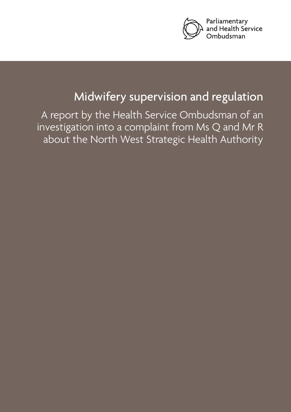

# Midwifery supervision and regulation

A report by the Health Service Ombudsman of an investigation into a complaint from Ms Q and Mr R about the North West Strategic Health Authority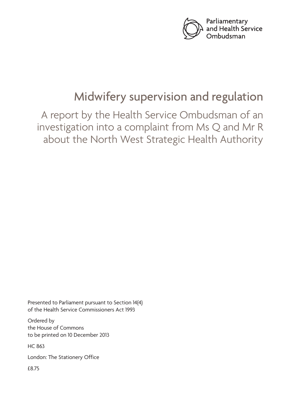

# Midwifery supervision and regulation

A report by the Health Service Ombudsman of an investigation into a complaint from Ms Q and Mr R about the North West Strategic Health Authority

Presented to Parliament pursuant to Section 14(4) of the Health Service Commissioners Act 1993

Ordered by the House of Commons to be printed on 10 December 2013

HC 863

London: The Stationery Office

£8.75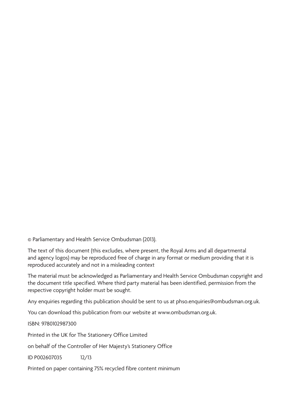© Parliamentary and Health Service Ombudsman (2013).

The text of this document (this excludes, where present, the Royal Arms and all departmental and agency logos) may be reproduced free of charge in any format or medium providing that it is reproduced accurately and not in a misleading context

The material must be acknowledged as Parliamentary and Health Service Ombudsman copyright and the document title specified. Where third party material has been identified, permission from the respective copyright holder must be sought.

Any enquiries regarding this publication should be sent to us at phso.enquiries@ombudsman.org.uk.

You can download this publication from our website at www.ombudsman.org.uk.

ISBN: 9780102987300

Printed in the UK for The Stationery Office Limited

on behalf of the Controller of Her Majesty's Stationery Office

ID P002607035 12/13

Printed on paper containing 75% recycled fibre content minimum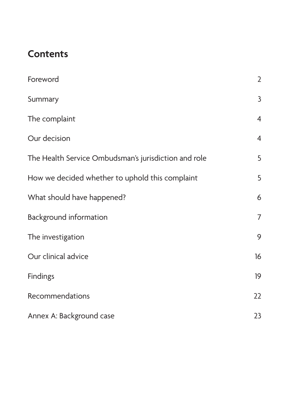# **Contents**

| Foreword                                             | $\overline{2}$ |
|------------------------------------------------------|----------------|
| Summary                                              | $\mathsf{3}$   |
| The complaint                                        | $\overline{4}$ |
| Our decision                                         | $\overline{4}$ |
| The Health Service Ombudsman's jurisdiction and role | 5              |
| How we decided whether to uphold this complaint      | 5              |
| What should have happened?                           | 6              |
| <b>Background information</b>                        | $\overline{7}$ |
| The investigation                                    | 9              |
| Our clinical advice                                  | 16             |
| <b>Findings</b>                                      | 19             |
| Recommendations                                      | 22             |
| Annex A: Background case                             | 23             |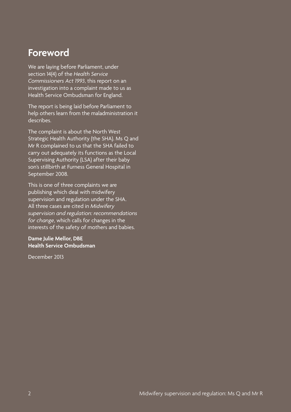## <span id="page-5-0"></span>**Foreword**

We are laying before Parliament, under section 14(4) of the *Health Service Commissioners Act 1993*, this report on an investigation into a complaint made to us as Health Service Ombudsman for England.

The report is being laid before Parliament to help others learn from the maladministration it describes.

The complaint is about the North West Strategic Health Authority (the SHA). Ms Q and Mr R complained to us that the SHA failed to carry out adequately its functions as the Local Supervising Authority (LSA) after their baby son's stillbirth at Furness General Hospital in September 2008.

This is one of three complaints we are publishing which deal with midwifery supervision and regulation under the SHA. All three cases are cited in *Midwifery supervision and regulation: recommendations for change*, which calls for changes in the interests of the safety of mothers and babies.

#### **Dame Julie Mellor, DBE Health Service Ombudsman**

December 2013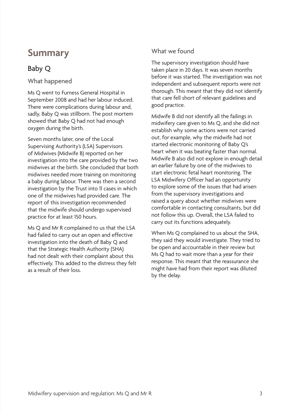## <span id="page-6-0"></span>**Summary**

## Baby Q

What happened

Ms Q went to Furness General Hospital in September 2008 and had her labour induced. There were complications during labour and, sadly, Baby Q was stillborn. The post mortem showed that Baby Q had not had enough oxygen during the birth.

Seven months later, one of the Local Supervising Authority's (LSA) Supervisors of Midwives (Midwife B) reported on her investigation into the care provided by the two midwives at the birth. She concluded that both midwives needed more training on monitoring a baby during labour. There was then a second investigation by the Trust into 11 cases in which one of the midwives had provided care. The report of this investigation recommended that the midwife should undergo supervised practice for at least 150 hours.

Ms Q and Mr R complained to us that the LSA had failed to carry out an open and effective investigation into the death of Baby Q and that the Strategic Health Authority (SHA) had not dealt with their complaint about this effectively. This added to the distress they felt as a result of their loss.

#### What we found

The supervisory investigation should have taken place in 20 days. It was seven months before it was started. The investigation was not independent and subsequent reports were not thorough. This meant that they did not identify that care fell short of relevant guidelines and good practice.

Midwife B did not identify all the failings in midwifery care given to Ms Q, and she did not establish why some actions were not carried out, for example, why the midwife had not started electronic monitoring of Baby Q's heart when it was beating faster than normal. Midwife B also did not explore in enough detail an earlier failure by one of the midwives to start electronic fetal heart monitoring. The LSA Midwifery Officer had an opportunity to explore some of the issues that had arisen from the supervisory investigations and raised a query about whether midwives were comfortable in contacting consultants, but did not follow this up. Overall, the LSA failed to carry out its functions adequately.

When Ms Q complained to us about the SHA, they said they would investigate. They tried to be open and accountable in their review but Ms Q had to wait more than a year for their response. This meant that the reassurance she might have had from their report was diluted by the delay.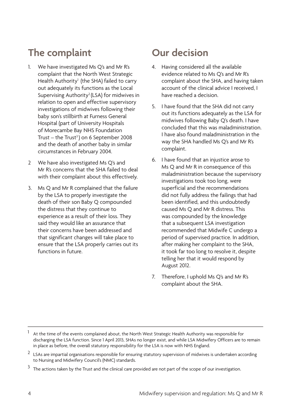# <span id="page-7-0"></span>**The complaint**

- 1. We have investigated Ms Q's and Mr R's complaint that the North West Strategic Health Authority<sup>1</sup> (the SHA) failed to carry out adequately its functions as the Local Supervising Authority2 (LSA) for midwives in relation to open and effective supervisory investigations of midwives following their baby son's stillbirth at Furness General Hospital (part of University Hospitals of Morecambe Bay NHS Foundation Trust – the Trust<sup>3</sup>) on 6 September 2008 and the death of another baby in similar circumstances in February 2004.
- 2 We have also investigated Ms Q's and Mr R's concerns that the SHA failed to deal with their complaint about this effectively.
- 3. Ms Q and Mr R complained that the failure by the LSA to properly investigate the death of their son Baby Q compounded the distress that they continue to experience as a result of their loss. They said they would like an assurance that their concerns have been addressed and that significant changes will take place to ensure that the LSA properly carries out its functions in future.

# **Our decision**

- 4. Having considered all the available evidence related to Ms Q's and Mr R's complaint about the SHA, and having taken account of the clinical advice I received, I have reached a decision.
- 5. I have found that the SHA did not carry out its functions adequately as the LSA for midwives following Baby Q's death. I have concluded that this was maladministration. I have also found maladministration in the way the SHA handled Ms Q's and Mr R's complaint.
- 6. I have found that an injustice arose to Ms Q and Mr R in consequence of this maladministration because the supervisory investigations took too long, were superficial and the recommendations did not fully address the failings that had been identified, and this undoubtedly caused Ms Q and Mr R distress. This was compounded by the knowledge that a subsequent LSA investigation recommended that Midwife C undergo a period of supervised practice. In addition, after making her complaint to the SHA, it took far too long to resolve it, despite telling her that it would respond by August 2012.
- 7. Therefore, I uphold Ms Q's and Mr R's complaint about the SHA.

- $2$  LSAs are impartial organisations responsible for ensuring statutory supervision of midwives is undertaken according to Nursing and Midwifery Council's (NMC) standards.
- $3$  The actions taken by the Trust and the clinical care provided are not part of the scope of our investigation.

At the time of the events complained about, the North West Strategic Health Authority was responsible for discharging the LSA function. Since 1 April 2013, SHAs no longer exist, and while LSA Midwifery Officers are to remain in place as before, the overall statutory responsibility for the LSA is now with NHS England.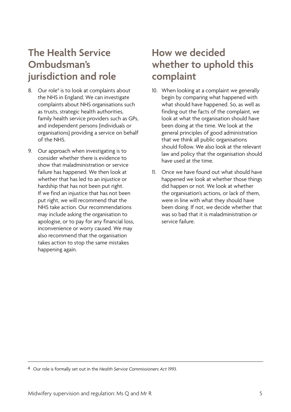# <span id="page-8-0"></span>**The Health Service Ombudsman's jurisdiction and role**

- 8. Our role<sup>4</sup> is to look at complaints about the NHS in England. We can investigate complaints about NHS organisations such as trusts, strategic health authorities, family health service providers such as GPs, and independent persons (individuals or organisations) providing a service on behalf of the NHS.
- 9. Our approach when investigating is to consider whether there is evidence to show that maladministration or service failure has happened. We then look at whether that has led to an injustice or hardship that has not been put right. If we find an injustice that has not been put right, we will recommend that the NHS take action. Our recommendations may include asking the organisation to apologise, or to pay for any financial loss, inconvenience or worry caused. We may also recommend that the organisation takes action to stop the same mistakes happening again.

# **How we decided whether to uphold this complaint**

- 10. When looking at a complaint we generally begin by comparing what happened with what should have happened. So, as well as finding out the facts of the complaint, we look at what the organisation should have been doing at the time. We look at the general principles of good administration that we think all public organisations should follow. We also look at the relevant law and policy that the organisation should have used at the time.
- 11. Once we have found out what should have happened we look at whether those things did happen or not. We look at whether the organisation's actions, or lack of them, were in line with what they should have been doing. If not, we decide whether that was so bad that it is maladministration or service failure.

<sup>4</sup> Our role is formally set out in the *Health Service Commissioners Act 1993.*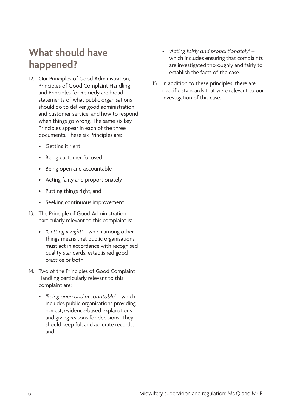# <span id="page-9-0"></span>**What should have happened?**

- 12. Our Principles of Good Administration, Principles of Good Complaint Handling and Principles for Remedy are broad statements of what public organisations should do to deliver good administration and customer service, and how to respond when things go wrong. The same six key Principles appear in each of the three documents. These six Principles are:
	- • Getting it right
	- • Being customer focused
	- • Being open and accountable
	- • Acting fairly and proportionately
	- • Putting things right, and
	- • Seeking continuous improvement.
- 13. The Principle of Good Administration particularly relevant to this complaint is:
	- *• 'Getting it right'* which among other things means that public organisations must act in accordance with recognised quality standards, established good practice or both.
- 14. Two of the Principles of Good Complaint Handling particularly relevant to this complaint are:
	- *• 'Being open and accountable'* which includes public organisations providing honest, evidence-based explanations and giving reasons for decisions. They should keep full and accurate records; and
- *• 'Acting fairly and proportionately'*  which includes ensuring that complaints are investigated thoroughly and fairly to establish the facts of the case.
- 15. In addition to these principles, there are specific standards that were relevant to our investigation of this case.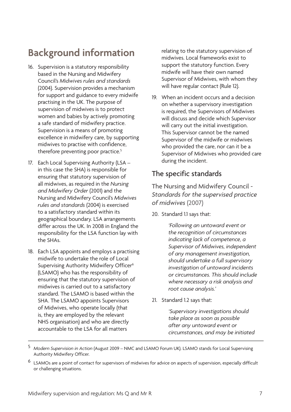# <span id="page-10-0"></span>**Background information**

- 16. Supervision is a statutory responsibility based in the Nursing and Midwifery Council's *Midwives rules and standards*  (2004). Supervision provides a mechanism for support and guidance to every midwife practising in the UK. The purpose of supervision of midwives is to protect women and babies by actively promoting a safe standard of midwifery practice. Supervision is a means of promoting excellence in midwifery care, by supporting midwives to practise with confidence, therefore preventing poor practice.<sup>5</sup>
- 17. Each Local Supervising Authority (LSA in this case the SHA) is responsible for ensuring that statutory supervision of all midwives, as required in the *Nursing and Midwifery Order* (2001) and the Nursing and Midwifery Council's *Midwives rules and standards* (2004) is exercised to a satisfactory standard within its geographical boundary. LSA arrangements differ across the UK. In 2008 in England the responsibility for the LSA function lay with the SHAs.
- 18. Each LSA appoints and employs a practising midwife to undertake the role of Local Supervising Authority Midwifery Officer<sup>6</sup> (LSAMO) who has the responsibility of ensuring that the statutory supervision of midwives is carried out to a satisfactory standard. The LSAMO is based within the SHA. The LSAMO appoints Supervisors of Midwives, who operate locally (that is, they are employed by the relevant NHS organisation) and who are directly accountable to the LSA for all matters

relating to the statutory supervision of midwives. Local frameworks exist to support the statutory function. Every midwife will have their own named Supervisor of Midwives, with whom they will have regular contact (Rule 12).

19. When an incident occurs and a decision on whether a supervisory investigation is required, the Supervisors of Midwives will discuss and decide which Supervisor will carry out the initial investigation. This Supervisor cannot be the named Supervisor of the midwife or midwives who provided the care, nor can it be a Supervisor of Midwives who provided care during the incident.

## The specific standards

The Nursing and Midwifery Council - *Standards for the supervised practice of midwives* (2007)

20. Standard 1.1 says that:

*'Following an untoward event or the recognition of circumstances indicating lack of competence, a Supervisor of Midwives, independent of any management investigation, should undertake a full supervisory investigation of untoward incidents or circumstances. This should include where necessary a risk analysis and root cause analysis.'*

21. Standard 1.2 says that:

*'Supervisory investigations should take place as soon as possible after any untoward event or circumstances, and may be initiated* 

- 5 *Modern Supervision in Action* (August 2009 NMC and LSAMO Forum UK). LSAMO stands for Local Supervising Authority Midwifery Officer.
- 6 LSAMOs are a point of contact for supervisors of midwives for advice on aspects of supervision, especially difficult or challenging situations.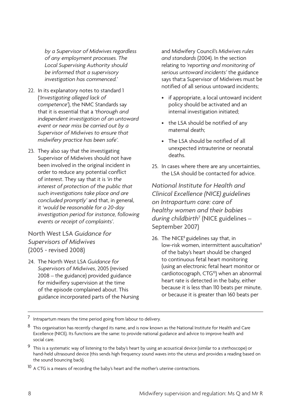*by a Supervisor of Midwives regardless of any employment processes. The Local Supervising Authority should be informed that a supervisory investigation has commenced.'*

- 22. In its explanatory notes to standard 1 (*'Investigating alleged lack of competence'*), the NMC Standards say that it is essential that a *'thorough and independent investigation of an untoward event or near miss be carried out by a Supervisor of Midwives to ensure that midwifery practice has been safe'*.
- 23. They also say that the investigating Supervisor of Midwives should not have been involved in the original incident in order to reduce any potential conflict of interest. They say that it is *'in the interest of protection of the public that such investigations take place and are concluded promptly'* and that, in general, it *'would be reasonable for a 20-day investigation period for instance, following events or receipt of complaints'*.

North West LSA *Guidance for Supervisors of Midwives*  (2005 - revised 2008)

24. The North West LSA *Guidance for Supervisors of Midwives*, 2005 (revised 2008 – the guidance) provided guidance for midwifery supervision at the time of the episode complained about. This guidance incorporated parts of the Nursing

and Midwifery Council's *Midwives rules and standards* (2004). In the section relating to *'reporting and monitoring of serious untoward incidents'* the guidance says that:a Supervisor of Midwives must be notified of all serious untoward incidents;

- if appropriate, a local untoward incident policy should be activated and an internal investigation initiated;
- the LSA should be notified of any maternal death;
- The LSA should be notified of all unexpected intrauterine or neonatal deaths.
- 25. In cases where there are any uncertainties, the LSA should be contacted for advice.

*National Institute for Health and Clinical Excellence (NICE) guidelines on Intrapartum care: care of healthy women and their babies during childbirth*<sup>7</sup> (NICE guidelines – September 2007)

26. The NICE<sup>8</sup> guidelines say that, in low-risk women, intermittent auscultation<sup>9</sup> of the baby's heart should be changed to continuous fetal heart monitoring (using an electronic fetal heart monitor or cardiotocograph, CTG<sup>10</sup>) when an abnormal heart rate is detected in the baby, either because it is less than 110 beats per minute, or because it is greater than 160 beats per

<sup>7</sup> Intrapartum means the time period going from labour to delivery.

<sup>8</sup> This organisation has recently changed its name, and is now known as the National Institute for Health and Care Excellence (NICE). Its functions are the same: to provide national guidance and advice to improve health and social care.

<sup>9</sup> This is a systematic way of listening to the baby's heart by using an acoustical device (similar to a stethoscope) or hand-held ultrasound device (this sends high frequency sound waves into the uterus and provides a reading based on the sound bouncing back).

 $10$  A CTG is a means of recording the baby's heart and the mother's uterine contractions.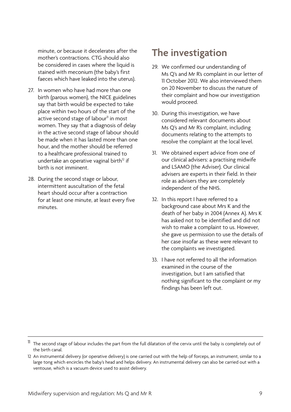<span id="page-12-0"></span>minute, or because it decelerates after the mother's contractions. CTG should also be considered in cases where the liquid is stained with meconium (the baby's first faeces which have leaked into the uterus).

- 27. In women who have had more than one birth (parous women), the NICE guidelines say that birth would be expected to take place within two hours of the start of the active second stage of labour<sup>11</sup> in most women. They say that a diagnosis of delay in the active second stage of labour should be made when it has lasted more than one hour, and the mother should be referred to a healthcare professional trained to undertake an operative vaginal birth $12$  if birth is not imminent.
- 28. During the second stage or labour, intermittent auscultation of the fetal heart should occur after a contraction for at least one minute, at least every five minutes.

## **The investigation**

- 29. We confirmed our understanding of Ms Q's and Mr R's complaint in our letter of 11 October 2012. We also interviewed them on 20 November to discuss the nature of their complaint and how our investigation would proceed.
- 30. During this investigation, we have considered relevant documents about Ms Q's and Mr R's complaint, including documents relating to the attempts to resolve the complaint at the local level.
- 31. We obtained expert advice from one of our clinical advisers: a practising midwife and LSAMO (the Adviser). Our clinical advisers are experts in their field. In their role as advisers they are completely independent of the NHS.
- 32. In this report I have referred to a background case about Mrs K and the death of her baby in 2004 (Annex A). Mrs K has asked not to be identified and did not wish to make a complaint to us. However, she gave us permission to use the details of her case insofar as these were relevant to the complaints we investigated.
- 33. I have not referred to all the information examined in the course of the investigation, but I am satisfied that nothing significant to the complaint or my findings has been left out.

 $11$  The second stage of labour includes the part from the full dilatation of the cervix until the baby is completely out of the birth canal.

<sup>12</sup> An instrumental delivery (or operative delivery) is one carried out with the help of forceps, an instrument, similar to a large tong which encircles the baby's head and helps delivery. An instrumental delivery can also be carried out with a ventouse, which is a vacuum device used to assist delivery.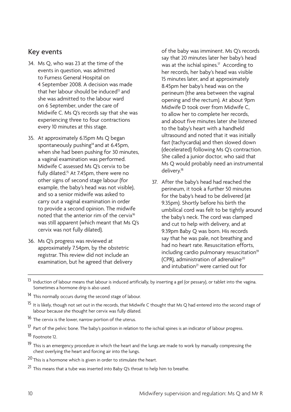#### Key events

- 34. Ms Q, who was 23 at the time of the events in question, was admitted to Furness General Hospital on 4 September 2008. A decision was made that her labour should be induced $13$  and she was admitted to the labour ward on 6 September, under the care of Midwife C. Ms Q's records say that she was experiencing three to four contractions every 10 minutes at this stage.
- 35. At approximately 6.15pm Ms Q began spontaneously pushing<sup>14</sup> and at 6.45pm, when she had been pushing for 30 minutes, a vaginal examination was performed. Midwife C assessed Ms Q's cervix to be fully dilated.<sup>15</sup> At 7.45pm, there were no other signs of second stage labour (for example, the baby's head was not visible), and so a senior midwife was asked to carry out a vaginal examination in order to provide a second opinion. The midwife noted that the anterior rim of the cervix<sup>16</sup> was still apparent (which meant that Ms Q's cervix was not fully dilated).
- 36. Ms Q's progress was reviewed at approximately 7.54pm, by the obstetric registrar. This review did not include an examination, but he agreed that delivery

of the baby was imminent. Ms Q's records say that 20 minutes later her baby's head was at the ischial spines.<sup>17</sup> According to her records, her baby's head was visible 15 minutes later, and at approximately 8.45pm her baby's head was on the perineum (the area between the vaginal opening and the rectum). At about 9pm Midwife D took over from Midwife C, to allow her to complete her records, and about five minutes later she listened to the baby's heart with a handheld ultrasound and noted that it was initially fast (tachycardia) and then slowed down (decelerated) following Ms Q's contraction. She called a junior doctor, who said that Ms Q would probably need an instrumental delivery.18

- 37. After the baby's head had reached the perineum, it took a further 50 minutes for the baby's head to be delivered (at 9.35pm). Shortly before his birth the umbilical cord was felt to be tightly around the baby's neck. The cord was clamped and cut to help with delivery, and at 9.39pm Baby Q was born. His records say that he was pale, not breathing and had no heart rate. Resuscitation efforts,  $including$  cardio pulmonary resuscitation $19$ (CPR), administration of adrenaline<sup>20</sup> and intubation<sup>21</sup> were carried out for
- <sup>13</sup> Induction of labour means that labour is induced artificially, by inserting a gel (or pessary), or tablet into the vagina. Sometimes a hormone drip is also used.
- 14 This normally occurs during the second stage of labour.
- <sup>15</sup> It is likely, though not set out in the records, that Midwife C thought that Ms Q had entered into the second stage of labour because she thought her cervix was fully dilated.
- 16 The cervix is the lower, narrow portion of the uterus.

<sup>17</sup> Part of the pelvic bone. The baby's position in relation to the ischial spines is an indicator of labour progress.

- 18 Footnote 12.
- <sup>19</sup> This is an emergency procedure in which the heart and the lungs are made to work by manually compressing the chest overlying the heart and forcing air into the lungs.
- $20$  This is a hormone which is given in order to stimulate the heart.
- <sup>21</sup> This means that a tube was inserted into Baby Q's throat to help him to breathe.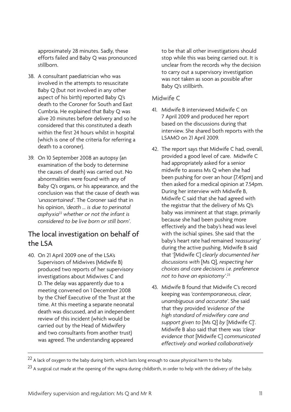approximately 28 minutes. Sadly, these efforts failed and Baby Q was pronounced stillborn.

- 38. A consultant paediatrician who was involved in the attempts to resuscitate Baby Q (but not involved in any other aspect of his birth) reported Baby Q's death to the Coroner for South and East Cumbria. He explained that Baby Q was alive 20 minutes before delivery and so he considered that this constituted a death within the first 24 hours whilst in hospital (which is one of the criteria for referring a death to a coroner).
- 39. On 10 September 2008 an autopsy (an examination of the body to determine the causes of death) was carried out. No abnormalities were found with any of Baby Q's organs, or his appearance, and the conclusion was that the cause of death was *'unascertained'*. The Coroner said that in his opinion, *'death … is due to perinatal asphyxia*<sup>22</sup> *whether or not the infant is considered to be live born or still born'*.

## The local investigation on behalf of the LSA

40. On 21 April 2009 one of the LSA's Supervisors of Midwives (Midwife B) produced two reports of her supervisory investigations about Midwives C and D. The delay was apparently due to a meeting convened on 1 December 2008 by the Chief Executive of the Trust at the time. At this meeting a separate neonatal death was discussed, and an independent review of this incident (which would be carried out by the Head of Midwifery and two consultants from another trust) was agreed. The understanding appeared

to be that all other investigations should stop while this was being carried out. It is unclear from the records why the decision to carry out a supervisory investigation was not taken as soon as possible after Baby Q's stillbirth.

#### Midwife C

- 41. Midwife B interviewed Midwife C on 7 April 2009 and produced her report based on the discussions during that interview. She shared both reports with the LSAMO on 21 April 2009.
- 42. The report says that Midwife C had, overall, provided a good level of care. Midwife C had appropriately asked for a senior midwife to assess Ms Q when she had been pushing for over an hour (7.45pm) and then asked for a medical opinion at 7.54pm. During her interview with Midwife B, Midwife C said that she had agreed with the registrar that the delivery of Ms Q's baby was imminent at that stage, primarily because she had been pushing more effectively and the baby's head was level with the ischial spines. She said that the baby's heart rate had remained *'reassuring'*  during the active pushing. Midwife B said that '[Midwife C] *clearly documented her discussions with* [Ms Q]*, respecting her choices and care decisions i.e. preference not to have an episiotomy'*. 23
- 43. Midwife B found that Midwife C's record keeping was *'contemporaneous, clear, unambiguous and accurate'*. She said that they provided *'evidence of the high standard of midwifery care and support given to* [Ms Q] *by* [Midwife C]'. Midwife B also said that there was *'clear evidence that* [Midwife C] *communicated effectively and worked collaboratively*

 $22$  A lack of oxygen to the baby during birth, which lasts long enough to cause physical harm to the baby.

<sup>&</sup>lt;sup>23</sup> A surgical cut made at the opening of the vagina during childbirth, in order to help with the delivery of the baby.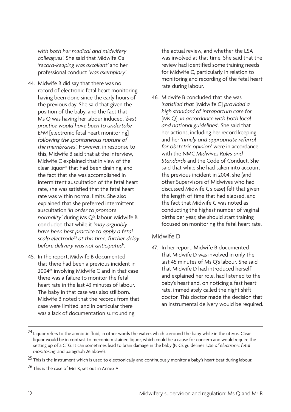*with both her medical and midwifery colleagues*'. She said that Midwife C's *'record-keeping was excellent'* and her professional conduct *'was exemplary'*.

- 44. Midwife B did say that there was no record of electronic fetal heart monitoring having been done since the early hours of the previous day. She said that given the position of the baby, and the fact that Ms Q was having her labour induced, *'best practice would have been to undertake EFM* [electronic fetal heart monitoring] *following the spontaneous rupture of the membranes'*. However, in response to this, Midwife B said that at the interview, Midwife C explained that in view of the clear liquor<sup>24</sup> that had been draining, and the fact that she was accomplished in intermittent auscultation of the fetal heart rate, she was satisfied that the fetal heart rate was within normal limits. She also explained that she preferred intermittent auscultation *'in order to promote normality'* during Ms Q's labour. Midwife B concluded that while it *'may arguably have been best practice to apply a fetal scalp electrode*<sup>25</sup> *at this time, further delay before delivery was not anticipated'*.
- 45. In the report, Midwife B documented that there had been a previous incident in 2004<sup>26</sup> involving Midwife C and in that case there was a failure to monitor the fetal heart rate in the last 43 minutes of labour. The baby in that case was also stillborn. Midwife B noted that the records from that case were limited, and in particular there was a lack of documentation surrounding

the actual review, and whether the LSA was involved at that time. She said that the review had identified some training needs for Midwife C, particularly in relation to monitoring and recording of the fetal heart rate during labour.

46. Midwife B concluded that she was *'satisfied that* [Midwife C] *provided a high standard of intrapartum care for*  [Ms Q], *in accordance with both local and national guidelines'*. She said that her actions, including her record keeping, and her *'timely and appropriate referral for obstetric opinion*' were in accordance with the NMC *Midwives Rules and Standards* and the Code of Conduct. She said that while she had taken into account the previous incident in 2004, she (and other Supervisors of Midwives who had discussed Midwife C's case) felt that given the length of time that had elapsed, and the fact that Midwife C was noted as conducting the highest number of vaginal births per year, she should start training focused on monitoring the fetal heart rate.

#### Midwife D

47. In her report, Midwife B documented that Midwife D was involved in only the last 45 minutes of Ms Q's labour. She said that Midwife D had introduced herself and explained her role, had listened to the baby's heart and, on noticing a fast heart rate, immediately called the night shift doctor. This doctor made the decision that an instrumental delivery would be required.

<sup>&</sup>lt;sup>24</sup> Liquor refers to the amniotic fluid, in other words the waters which surround the baby while in the uterus. Clear liquor would be in contrast to meconium stained liquor, which could be a cause for concern and would require the setting up of a CTG. It can sometimes lead to brain damage in the baby (NICE guidelines *'Use of electronic fetal monitoring'* and paragraph 26 above).

 $25$  This is the instrument which is used to electronically and continuously monitor a baby's heart beat during labour.

<sup>26</sup> This is the case of Mrs K, set out in Annex A.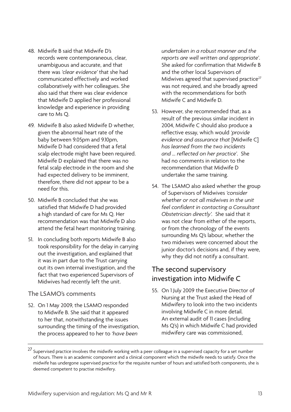- 48. Midwife B said that Midwife D's records were contemporaneous, clear, unambiguous and accurate, and that there was *'clear evidence'* that she had communicated effectively and worked collaboratively with her colleagues. She also said that there was clear evidence that Midwife D applied her professional knowledge and experience in providing care to Ms Q.
- 49. Midwife B also asked Midwife D whether, given the abnormal heart rate of the baby between 9.05pm and 9.10pm, Midwife D had considered that a fetal scalp electrode might have been required. Midwife D explained that there was no fetal scalp electrode in the room and she had expected delivery to be imminent, therefore, there did not appear to be a need for this.
- 50. Midwife B concluded that she was satisfied that Midwife D had provided a high standard of care for Ms Q. Her recommendation was that Midwife D also attend the fetal heart monitoring training.
- 51. In concluding both reports Midwife B also took responsibility for the delay in carrying out the investigation, and explained that it was in part due to the Trust carrying out its own internal investigation, and the fact that two experienced Supervisors of Midwives had recently left the unit.

#### The LSAMO's comments

52. On 1 May 2009, the LSAMO responded to Midwife B. She said that it appeared to her that, notwithstanding the issues surrounding the timing of the investigation, the process appeared to her to *'have been* 

*undertaken in a robust manner and the reports are well written and appropriate'*. She asked for confirmation that Midwife B and the other local Supervisors of Midwives agreed that supervised practice<sup>27</sup> was not required, and she broadly agreed with the recommendations for both Midwife C and Midwife D.

- 53. However, she recommended that, as a result of the previous similar incident in 2004, Midwife C should also produce a reflective essay, which would *'provide evidence and assurance that* [Midwife C] *has learned from the two incidents and … reflected on her practice'*. She had no comments in relation to the recommendation that Midwife D undertake the same training.
- 54. The LSAMO also asked whether the group of Supervisors of Midwives *'consider whether or not all midwives in the unit feel confident in contacting a Consultant Obstetrician directly'.* She said that it was not clear from either of the reports, or from the chronology of the events surrounding Ms Q's labour, whether the two midwives were concerned about the junior doctor's decisions and, if they were, why they did not notify a consultant.

## The second supervisory investigation into Midwife C

55. On 1 July 2009 the Executive Director of Nursing at the Trust asked the Head of Midwifery to look into the two incidents involving Midwife C in more detail. An external audit of 11 cases (including Ms Q's) in which Midwife C had provided midwifery care was commissioned,

<sup>&</sup>lt;sup>27</sup> Supervised practice involves the midwife working with a peer colleague in a supervised capacity for a set number of hours. There is an academic component and a clinical component which the midwife needs to satisfy. Once the midwife has undergone supervised practice for the requisite number of hours and satisfied both components, she is deemed competent to practise midwifery.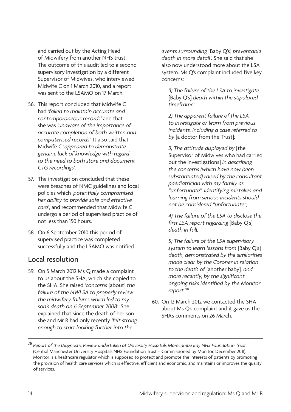and carried out by the Acting Head of Midwifery from another NHS trust. The outcome of this audit led to a second supervisory investigation by a different Supervisor of Midwives, who interviewed Midwife C on 1 March 2010, and a report was sent to the LSAMO on 17 March.

- 56. This report concluded that Midwife C had *'failed to maintain accurate and contemporaneous records'* and that she was *'unaware of the importance of accurate completion of both written and computerised records'*. It also said that Midwife C '*appeared to demonstrate genuine lack of knowledge with regard to the need to both store and document CTG recordings*'.
- 57. The investigation concluded that these were breaches of NMC guidelines and local policies which *'potentially compromised her ability to provide safe and effective care'*, and recommended that Midwife C undergo a period of supervised practice of not less than 150 hours.
- 58. On 6 September 2010 this period of supervised practice was completed successfully and the LSAMO was notified.

## Local resolution

59. On 5 March 2012 Ms Q made a complaint to us about the SHA, which she copied to the SHA. She raised *'concerns* [about] *the failure of the NWLSA to properly review the midwifery failures which led to my son's death on 6 September 2008'*. She explained that since the death of her son she and Mr R had only recently *'felt strong enough to start looking further into the* 

*events surrounding* [Baby Q's] *preventable death in more detail'.* She said that she also now understood more about the LSA system. Ms Q's complaint included five key concerns:

*'1) The failure of the LSA to investigate*  [Baby Q's] *death within the stipulated timeframe;* 

*2) The apparent failure of the LSA to investigate or learn from previous incidents, including a case referred to by* [a doctor from the Trust]*;* 

*3) The attitude displayed by* [the Supervisor of Midwives who had carried out the investigations] *in describing the concerns (which have now been substantiated) raised by the consultant paediatrician with my family as "unfortunate". Identifying mistakes and learning from serious incidents should not be considered "unfortunate";* 

*4) The failure of the LSA to disclose the first LSA report regarding* [Baby Q's] *death in full;* 

*5) The failure of the LSA supervisory system to learn lessons from* [Baby Q's] *death, demonstrated by the similarities made clear by the Coroner in relation to the death of* [another baby]*, and more recently, by the significant ongoing risks identified by the Monitor report.'*<sup>28</sup>

60. On 12 March 2012 we contacted the SHA about Ms Q's complaint and it gave us the SHA's comments on 26 March.

<sup>28</sup> *Report of the Diagnostic Review undertaken at University Hospitals Morecambe Bay NHS Foundation Trust* (Central Manchester University Hospitals NHS Foundation Trust – Commissioned by Monitor, December 2011). Monitor is a healthcare regulator which is supposed to protect and promote the interests of patients by promoting the provision of health care services which is effective, efficient and economic, and maintains or improves the quality of services.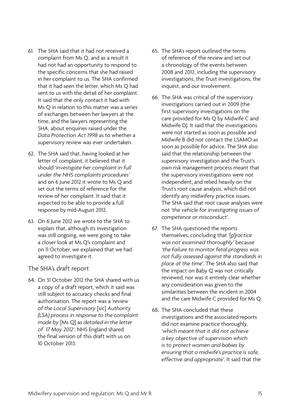- 61. The SHA said that it had not received a complaint from Ms Q, and as a result it had not had an opportunity to respond to the specific concerns that she had raised in her complaint to us. The SHA confirmed that it had seen the letter, which Ms Q had sent to us with the detail of her complaint. It said that the only contact it had with Ms Q in relation to this matter was a series of exchanges between her lawyers at the time, and the lawyers representing the SHA, about enquiries raised under the *Data Protection Act 1998* as to whether a supervisory review was ever undertaken.
- 62. The SHA said that, having looked at her letter of complaint, it believed that it should *'investigate her complaint in full under the NHS complaints procedures'*  and on 6 June 2012 it wrote to Ms Q and set out the terms of reference for the review of her complaint. It said that it expected to be able to provide a full response by mid-August 2012.
- 63. On 6 June 2012 we wrote to the SHA to explain that, although its investigation was still ongoing, we were going to take a closer look at Ms Q's complaint and on 11 October, we explained that we had agreed to investigate it.

The SHA's draft report

64. On 31 October 2012 the SHA shared with us a copy of a draft report, which it said was still subject to accuracy checks and final authorisation. The report was a *'review of the Local Supervisory* [sic] *Authority (LSA) process in response to the complaint made by* [Ms Q] a*s detailed in the letter of 17 May 2012'*. NHS England shared the final version of this draft with us on 10 October 2013.

- 65. The SHA's report outlined the terms of reference of the review and set out a chronology of the events between 2008 and 2012, including the supervisory investigations, the Trust investigations, the inquest, and our involvement.
- 66. The SHA was critical of the supervisory investigations carried out in 2009 (the first supervisory investigations on the care provided for Ms Q by Midwife C and Midwife D). It said that the investigations were not started as soon as possible and Midwife B did not contact the LSAMO as soon as possible for advice. The SHA also said that the relationship between the supervisory investigation and the Trust's own risk management process meant that the supervisory investigations were not independent, and relied heavily on the Trust's root cause analysis, which did not identify any midwifery practice issues. The SHA said that root cause analyses were not *'the vehicle for investigating issues of competence or misconduct'*.
- 67. The SHA questioned the reports themselves, concluding that '[p]*ractice was not examined thoroughly'* because *'the failure to monitor fetal progress was not fully assessed against the standards in place at the time'*. The SHA also said that the impact on Baby Q was not critically reviewed, nor was it entirely clear whether any consideration was given to the similarities between the incident in 2004 and the care Midwife C provided for Ms Q.
- 68. The SHA concluded that these investigations and the associated reports did not examine practice thoroughly, *'which meant that it did not achieve a key objective of supervision which is to protect women and babies by ensuring that a midwife's practice is safe, effective and appropriate'*. It said that the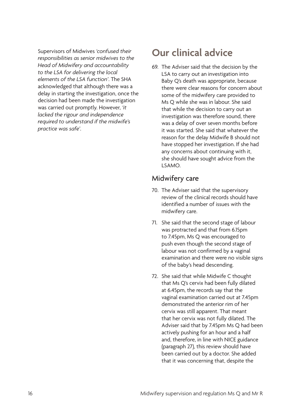<span id="page-19-0"></span>Supervisors of Midwives *'confused their responsibilities as senior midwives to the Head of Midwifery and accountability to the LSA for delivering the local elements of the LSA function'*. The SHA acknowledged that although there was a delay in starting the investigation, once the decision had been made the investigation was carried out promptly. However, *'it lacked the rigour and independence required to understand if the midwife's practice was safe'*.

# **Our clinical advice**

69. The Adviser said that the decision by the LSA to carry out an investigation into Baby Q's death was appropriate, because there were clear reasons for concern about some of the midwifery care provided to Ms Q while she was in labour. She said that while the decision to carry out an investigation was therefore sound, there was a delay of over seven months before it was started. She said that whatever the reason for the delay Midwife B should not have stopped her investigation. If she had any concerns about continuing with it, she should have sought advice from the LSAMO.

## Midwifery care

- 70. The Adviser said that the supervisory review of the clinical records should have identified a number of issues with the midwifery care.
- 71. She said that the second stage of labour was protracted and that from 6.15pm to 7.45pm, Ms Q was encouraged to push even though the second stage of labour was not confirmed by a vaginal examination and there were no visible signs of the baby's head descending.
- 72. She said that while Midwife C thought that Ms Q's cervix had been fully dilated at 6.45pm, the records say that the vaginal examination carried out at 7.45pm demonstrated the anterior rim of her cervix was still apparent. That meant that her cervix was not fully dilated. The Adviser said that by 7.45pm Ms Q had been actively pushing for an hour and a half and, therefore, in line with NICE guidance (paragraph 27), this review should have been carried out by a doctor. She added that it was concerning that, despite the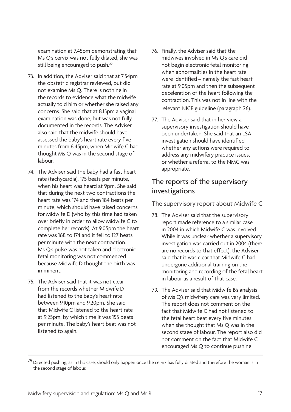examination at 7.45pm demonstrating that Ms Q's cervix was not fully dilated, she was still being encouraged to push.<sup>29</sup>

- 73. In addition, the Adviser said that at 7.54pm the obstetric registrar reviewed, but did not examine Ms Q. There is nothing in the records to evidence what the midwife actually told him or whether she raised any concerns. She said that at 8.15pm a vaginal examination was done, but was not fully documented in the records. The Adviser also said that the midwife should have assessed the baby's heart rate every five minutes from 6.45pm, when Midwife C had thought Ms Q was in the second stage of labour.
- 74. The Adviser said the baby had a fast heart rate (tachycardia), 175 beats per minute, when his heart was heard at 9pm. She said that during the next two contractions the heart rate was 174 and then 184 beats per minute, which should have raised concerns for Midwife D (who by this time had taken over briefly in order to allow Midwife C to complete her records). At 9.05pm the heart rate was 168 to 174 and it fell to 127 beats per minute with the next contraction. Ms Q's pulse was not taken and electronic fetal monitoring was not commenced because Midwife D thought the birth was imminent.
- 75. The Adviser said that it was not clear from the records whether Midwife D had listened to the baby's heart rate between 9.10pm and 9.20pm. She said that Midwife C listened to the heart rate at 9.25pm, by which time it was 155 beats per minute. The baby's heart beat was not listened to again.
- 76. Finally, the Adviser said that the midwives involved in Ms Q's care did not begin electronic fetal monitoring when abnormalities in the heart rate were identified – namely the fast heart rate at 9.05pm and then the subsequent deceleration of the heart following the contraction. This was not in line with the relevant NICE guideline (paragraph 26).
- 77. The Adviser said that in her view a supervisory investigation should have been undertaken. She said that an LSA investigation should have identified whether any actions were required to address any midwifery practice issues, or whether a referral to the NMC was appropriate.

## The reports of the supervisory investigations

The supervisory report about Midwife C

- 78. The Adviser said that the supervisory report made reference to a similar case in 2004 in which Midwife C was involved. While it was unclear whether a supervisory investigation was carried out in 2004 (there are no records to that effect), the Adviser said that it was clear that Midwife C had undergone additional training on the monitoring and recording of the fetal heart in labour as a result of that case.
- 79. The Adviser said that Midwife B's analysis of Ms Q's midwifery care was very limited. The report does not comment on the fact that Midwife C had not listened to the fetal heart beat every five minutes when she thought that Ms Q was in the second stage of labour. The report also did not comment on the fact that Midwife C encouraged Ms Q to continue pushing

<sup>&</sup>lt;sup>29</sup> Directed pushing, as in this case, should only happen once the cervix has fully dilated and therefore the woman is in the second stage of labour.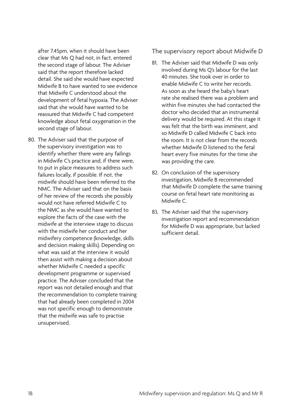after 7.45pm, when it should have been clear that Ms Q had not, in fact, entered the second stage of labour. The Adviser said that the report therefore lacked detail. She said she would have expected Midwife B to have wanted to see evidence that Midwife C understood about the development of fetal hypoxia. The Adviser said that she would have wanted to be reassured that Midwife C had competent knowledge about fetal oxygenation in the second stage of labour.

80. The Adviser said that the purpose of the supervisory investigation was to identify whether there were any failings in Midwife C's practice and, if there were, to put in place measures to address such failures locally, if possible. If not, the midwife should have been referred to the NMC. The Adviser said that on the basis of her review of the records she possibly would not have referred Midwife C to the NMC as she would have wanted to explore the facts of the case with the midwife at the interview stage to discuss with the midwife her conduct and her midwifery competence (knowledge, skills and decision making skills). Depending on what was said at the interview it would then assist with making a decision about whether Midwife C needed a specific development programme or supervised practice. The Adviser concluded that the report was not detailed enough and that the recommendation to complete training that had already been completed in 2004 was not specific enough to demonstrate that the midwife was safe to practise unsupervised.

The supervisory report about Midwife D

- 81. The Adviser said that Midwife D was only involved during Ms Q's labour for the last 40 minutes. She took over in order to enable Midwife C to write her records. As soon as she heard the baby's heart rate she realised there was a problem and within five minutes she had contacted the doctor who decided that an instrumental delivery would be required. At this stage it was felt that the birth was imminent, and so Midwife D called Midwife C back into the room. It is not clear from the records whether Midwife D listened to the fetal heart every five minutes for the time she was providing the care.
- 82. On conclusion of the supervisory investigation, Midwife B recommended that Midwife D complete the same training course on fetal heart rate monitoring as Midwife C.
- 83. The Adviser said that the supervisory investigation report and recommendation for Midwife D was appropriate, but lacked sufficient detail.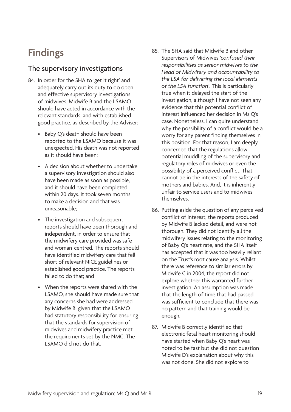# <span id="page-22-0"></span>**Findings**

## The supervisory investigations

- 84. In order for the SHA to 'get it right' and adequately carry out its duty to do open and effective supervisory investigations of midwives, Midwife B and the LSAMO should have acted in accordance with the relevant standards, and with established good practice, as described by the Adviser:
	- Baby Q's death should have been reported to the LSAMO because it was unexpected. His death was not reported as it should have been;
	- • A decision about whether to undertake a supervisory investigation should also have been made as soon as possible, and it should have been completed within 20 days. It took seven months to make a decision and that was unreasonable;
	- The investigation and subsequent reports should have been thorough and independent, in order to ensure that the midwifery care provided was safe and woman-centred. The reports should have identified midwifery care that fell short of relevant NICE guidelines or established good practice. The reports failed to do that; and
	- • When the reports were shared with the LSAMO, she should have made sure that any concerns she had were addressed by Midwife B, given that the LSAMO had statutory responsibility for ensuring that the standards for supervision of midwives and midwifery practice met the requirements set by the NMC. The LSAMO did not do that.
- 85. The SHA said that Midwife B and other Supervisors of Midwives *'confused their responsibilities as senior midwives to the Head of Midwifery and accountability to the LSA for delivering the local elements of the LSA function'*. This is particularly true when it delayed the start of the investigation, although I have not seen any evidence that this potential conflict of interest influenced her decision in Ms Q's case. Nonetheless, I can quite understand why the possibility of a conflict would be a worry for any parent finding themselves in this position. For that reason, I am deeply concerned that the regulations allow potential muddling of the supervisory and regulatory roles of midwives or even the possibility of a perceived conflict. That cannot be in the interests of the safety of mothers and babies. And, it is inherently unfair to service users and to midwives themselves.
- 86. Putting aside the question of any perceived conflict of interest, the reports produced by Midwife B lacked detail, and were not thorough. They did not identify all the midwifery issues relating to the monitoring of Baby Q's heart rate, and the SHA itself has accepted that it was too heavily reliant on the Trust's root cause analysis. Whilst there was reference to similar errors by Midwife C in 2004, the report did not explore whether this warranted further investigation. An assumption was made that the length of time that had passed was sufficient to conclude that there was no pattern and that training would be enough.
- 87. Midwife B correctly identified that electronic fetal heart monitoring should have started when Baby Q's heart was noted to be fast but she did not question Midwife D's explanation about why this was not done. She did not explore to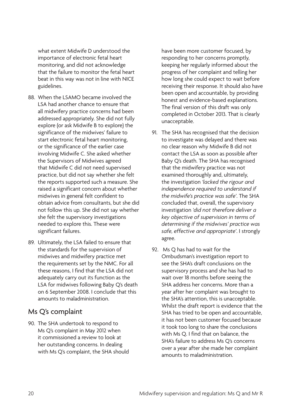what extent Midwife D understood the importance of electronic fetal heart monitoring, and did not acknowledge that the failure to monitor the fetal heart beat in this way was not in line with NICE guidelines.

- 88. When the LSAMO became involved the LSA had another chance to ensure that all midwifery practice concerns had been addressed appropriately. She did not fully explore (or ask Midwife B to explore) the significance of the midwives' failure to start electronic fetal heart monitoring, or the significance of the earlier case involving Midwife C. She asked whether the Supervisors of Midwives agreed that Midwife C did not need supervised practice, but did not say whether she felt the reports supported such a measure. She raised a significant concern about whether midwives in general felt confident to obtain advice from consultants, but she did not follow this up. She did not say whether she felt the supervisory investigations needed to explore this. These were significant failures.
- 89. Ultimately, the LSA failed to ensure that the standards for the supervision of midwives and midwifery practice met the requirements set by the NMC. For all these reasons, I find that the LSA did not adequately carry out its function as the LSA for midwives following Baby Q's death on 6 September 2008. I conclude that this amounts to maladministration.

## Ms Q's complaint

90. The SHA undertook to respond to Ms Q's complaint in May 2012 when it commissioned a review to look at her outstanding concerns. In dealing with Ms Q's complaint, the SHA should

have been more customer focused, by responding to her concerns promptly, keeping her regularly informed about the progress of her complaint and telling her how long she could expect to wait before receiving their response. It should also have been open and accountable, by providing honest and evidence-based explanations. The final version of this draft was only completed in October 2013. That is clearly unacceptable.

- 91. The SHA has recognised that the decision to investigate was delayed and there was no clear reason why Midwife B did not contact the LSA as soon as possible after Baby Q's death. The SHA has recognised that the midwifery practice was not examined thoroughly and, ultimately, the investigation *'lacked the rigour and independence required to understand if the midwife's practice was safe'*. The SHA concluded that, overall, the supervisory investigation *'did not therefore deliver a key objective of supervision in terms of determining if the midwives' practice was safe, effective and appropriate'*. I strongly agree.
- 92. Ms Q has had to wait for the Ombudsman's investigation report to see the SHA's draft conclusions on the supervisory process and she has had to wait over 18 months before seeing the SHA address her concerns. More than a year after her complaint was brought to the SHA's attention, this is unacceptable. Whilst the draft report is evidence that the SHA has tried to be open and accountable, it has not been customer focused because it took too long to share the conclusions with Ms Q. I find that on balance, the SHA's failure to address Ms Q's concerns over a year after she made her complaint amounts to maladministration.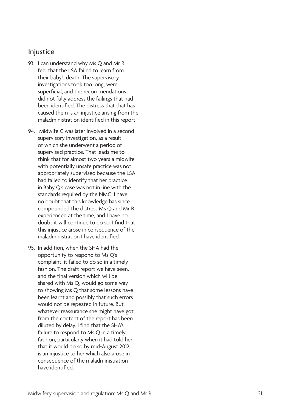#### Injustice

- 93. I can understand why Ms Q and Mr R feel that the LSA failed to learn from their baby's death. The supervisory investigations took too long, were superficial, and the recommendations did not fully address the failings that had been identified. The distress that that has caused them is an injustice arising from the maladministration identified in this report.
- 94. Midwife C was later involved in a second supervisory investigation, as a result of which she underwent a period of supervised practice. That leads me to think that for almost two years a midwife with potentially unsafe practice was not appropriately supervised because the LSA had failed to identify that her practice in Baby Q's case was not in line with the standards required by the NMC. I have no doubt that this knowledge has since compounded the distress Ms Q and Mr R experienced at the time, and I have no doubt it will continue to do so. I find that this injustice arose in consequence of the maladministration I have identified.
- 95. In addition, when the SHA had the opportunity to respond to Ms Q's complaint, it failed to do so in a timely fashion. The draft report we have seen, and the final version which will be shared with Ms Q, would go some way to showing Ms Q that some lessons have been learnt and possibly that such errors would not be repeated in future. But, whatever reassurance she might have got from the content of the report has been diluted by delay. I find that the SHA's failure to respond to Ms Q in a timely fashion, particularly when it had told her that it would do so by mid-August 2012, is an injustice to her which also arose in consequence of the maladministration I have identified.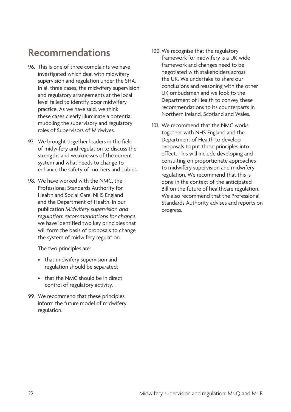# <span id="page-25-0"></span>**Recommendations**

- 96. This is one of three complaints we have investigated which deal with midwifery supervision and regulation under the SHA. In all three cases, the midwifery supervision and regulatory arrangements at the local level failed to identify poor midwifery practice. As we have said, we think these cases clearly illuminate a potential muddling the supervisory and regulatory roles of Supervisors of Midwives.
- 97. We brought together leaders in the field of midwifery and regulation to discuss the strengths and weaknesses of the current system and what needs to change to enhance the safety of mothers and babies.
- 98. We have worked with the NMC, the Professional Standards Authority for Health and Social Care, NHS England and the Department of Health. In our publication *Midwifery supervision and regulation: recommendations for change*, we have identified two key principles that will form the basis of proposals to change the system of midwifery regulation.

The two principles are:

- that midwifery supervision and regulation should be separated;
- that the NMC should be in direct control of regulatory activity.
- 99. We recommend that these principles inform the future model of midwifery regulation.
- 100. We recognise that the regulatory framework for midwifery is a UK-wide framework and changes need to be negotiated with stakeholders across the UK. We undertake to share our conclusions and reasoning with the other UK ombudsmen and we look to the Department of Health to convey these recommendations to its counterparts in Northern Ireland, Scotland and Wales.
- 101. We recommend that the NMC works together with NHS England and the Department of Health to develop proposals to put these principles into effect. This will include developing and consulting on proportionate approaches to midwifery supervision and midwifery regulation. We recommend that this is done in the context of the anticipated Bill on the future of healthcare regulation. We also recommend that the Professional Standards Authority advises and reports on progress.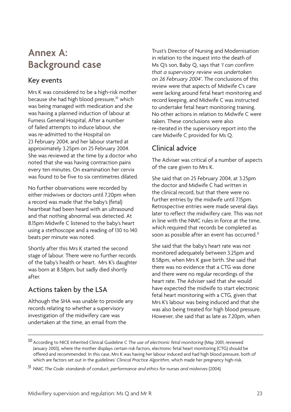## <span id="page-26-0"></span>**Annex A: Background case**

## Key events

Mrs K was considered to be a high-risk mother because she had high blood pressure,<sup>30</sup> which was being managed with medication and she was having a planned induction of labour at Furness General Hospital. After a number of failed attempts to induce labour, she was re-admitted to the Hospital on 23 February 2004, and her labour started at approximately 3.25pm on 25 February 2004. She was reviewed at the time by a doctor who noted that she was having contraction pains every ten minutes. On examination her cervix was found to be five to six centimetres dilated.

No further observations were recorded by either midwives or doctors until 7.20pm when a record was made that the baby's (fetal) heartbeat had been heard with an ultrasound and that nothing abnormal was detected. At 8.15pm Midwife C listened to the baby's heart using a stethoscope and a reading of 130 to 140 beats per minute was noted.

Shortly after this Mrs K started the second stage of labour. There were no further records of the baby's health or heart. Mrs K's daughter was born at 8.58pm, but sadly died shortly after.

## Actions taken by the LSA

Although the SHA was unable to provide any records relating to whether a supervisory investigation of the midwifery care was undertaken at the time, an email from the

Trust's Director of Nursing and Modernisation in relation to the inquest into the death of Ms Q's son, Baby Q, says that *'I can confirm that a supervisory review was undertaken on 26 February 2004'*. The conclusions of this review were that aspects of Midwife C's care were lacking around fetal heart monitoring and record keeping, and Midwife C was instructed to undertake fetal heart monitoring training. No other actions in relation to Midwife C were taken. These conclusions were also re-iterated in the supervisory report into the care Midwife C provided for Ms Q.

## Clinical advice

The Adviser was critical of a number of aspects of the care given to Mrs K.

She said that on 25 February 2004, at 3.25pm the doctor and Midwife C had written in the clinical record, but that there were no further entries by the midwife until 7.15pm. Retrospective entries were made several days later to reflect the midwifery care. This was not in line with the NMC rules in force at the time, which required that records be completed as soon as possible after an event has occurred.<sup>31</sup>

She said that the baby's heart rate was not monitored adequately between 3.25pm and 8.58pm, when Mrs K gave birth. She said that there was no evidence that a CTG was done and there were no regular recordings of the heart rate. The Adviser said that she would have expected the midwife to start electronic fetal heart monitoring with a CTG, given that Mrs K's labour was being induced and that she was also being treated for high blood pressure. However, she said that as late as 7.20pm, when

<sup>30</sup> According to NICE Inherited Clinical Guideline C *The use of electronic fetal monitoring* (May 2001, reviewed January 2003), where the mother displays certain risk factors, electronic fetal heart monitoring (CTG) should be offered and recommended. In this case, Mrs K was having her labour induced and had high blood pressure, both of which are factors set out in the guidelines' *Clinical Practice Algorithm*, which made her pregnancy high-risk.

<sup>31</sup> NMC *The Code: standards of conduct, performance and ethics for nurses and midwives* (2004).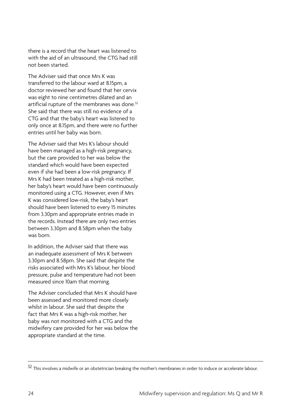there is a record that the heart was listened to with the aid of an ultrasound, the CTG had still not been started.

The Adviser said that once Mrs K was transferred to the labour ward at 8.15pm, a doctor reviewed her and found that her cervix was eight to nine centimetres dilated and an artificial rupture of the membranes was done.<sup>32</sup> She said that there was still no evidence of a CTG and that the baby's heart was listened to only once at 8.15pm, and there were no further entries until her baby was born.

The Adviser said that Mrs K's labour should have been managed as a high-risk pregnancy, but the care provided to her was below the standard which would have been expected even if she had been a low-risk pregnancy. If Mrs K had been treated as a high-risk mother, her baby's heart would have been continuously monitored using a CTG. However, even if Mrs K was considered low-risk, the baby's heart should have been listened to every 15 minutes from 3.30pm and appropriate entries made in the records. Instead there are only two entries between 3.30pm and 8.58pm when the baby was born.

In addition, the Adviser said that there was an inadequate assessment of Mrs K between 3.30pm and 8.58pm. She said that despite the risks associated with Mrs K's labour, her blood pressure, pulse and temperature had not been measured since 10am that morning.

The Adviser concluded that Mrs K should have been assessed and monitored more closely whilst in labour. She said that despite the fact that Mrs K was a high-risk mother, her baby was not monitored with a CTG and the midwifery care provided for her was below the appropriate standard at the time.

<sup>&</sup>lt;sup>32</sup> This involves a midwife or an obstetrician breaking the mother's membranes in order to induce or accelerate labour.